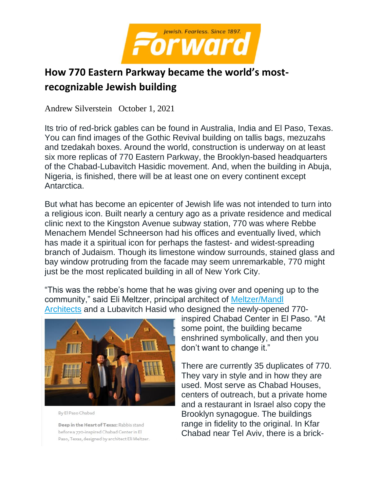

# **How 770 Eastern Parkway became the world's mostrecognizable Jewish building**

Andrew Silverstein October 1, 2021

Its trio of red-brick gables can be found in Australia, India and El Paso, Texas. You can find images of the Gothic Revival building on tallis bags, mezuzahs and tzedakah boxes. Around the world, construction is underway on at least six more replicas of 770 Eastern Parkway, the Brooklyn-based headquarters of the Chabad-Lubavitch Hasidic movement. And, when the building in Abuja, Nigeria, is finished, there will be at least one on every continent except Antarctica.

But what has become an epicenter of Jewish life was not intended to turn into a religious icon. Built nearly a century ago as a private residence and medical clinic next to the Kingston Avenue subway station, 770 was where Rebbe Menachem Mendel Schneerson had his offices and eventually lived, which has made it a spiritual icon for perhaps the fastest- and widest-spreading branch of Judaism. Though its limestone window surrounds, stained glass and bay window protruding from the facade may seem unremarkable, 770 might just be the most replicated building in all of New York City.

"This was the rebbe's home that he was giving over and opening up to the community," said Eli Meltzer, principal architect of [Meltzer/Mandl](https://www.meltzermandlpc.com/)  [Architects](https://www.meltzermandlpc.com/) and a Lubavitch Hasid who designed the newly-opened 770-



By El Paso Chabad

Deep in the Heart of Texas: Rabbis stand before a 770-inspired Chabad Center in El Paso, Texas, designed by architect Eli Meltzer. inspired Chabad Center in El Paso. "At some point, the building became enshrined symbolically, and then you don't want to change it."

There are currently 35 duplicates of 770. They vary in style and in how they are used. Most serve as Chabad Houses, centers of outreach, but a private home and a restaurant in Israel also copy the Brooklyn synagogue. The buildings range in fidelity to the original. In Kfar Chabad near Tel Aviv, there is a brick-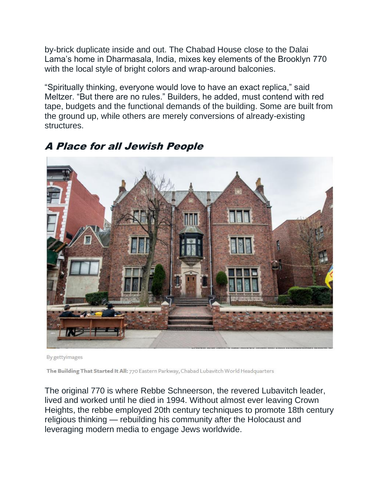by-brick duplicate inside and out. The Chabad House close to the Dalai Lama's home in Dharmasala, India, mixes key elements of the Brooklyn 770 with the local style of bright colors and wrap-around balconies.

"Spiritually thinking, everyone would love to have an exact replica," said Meltzer. "But there are no rules." Builders, he added, must contend with red tape, budgets and the functional demands of the building. Some are built from the ground up, while others are merely conversions of already-existing structures.



## A Place for all Jewish People

By gettyimages

The Building That Started It All: 770 Eastern Parkway, Chabad Lubavitch World Headquarters

The original 770 is where Rebbe Schneerson, the revered Lubavitch leader, lived and worked until he died in 1994. Without almost ever leaving Crown Heights, the rebbe employed 20th century techniques to promote 18th century religious thinking — rebuilding his community after the Holocaust and leveraging modern media to engage Jews worldwide.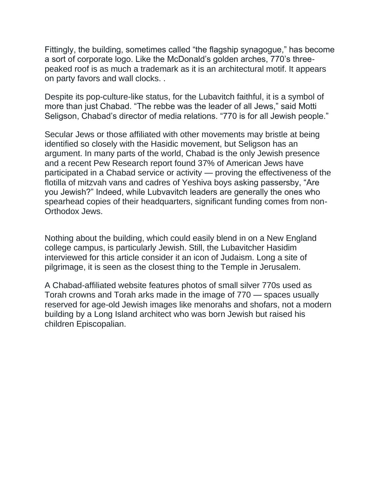Fittingly, the building, sometimes called "the flagship synagogue," has become a sort of corporate logo. Like the McDonald's golden arches, 770's threepeaked roof is as much a trademark as it is an architectural motif. It appears on party favors and wall clocks. .

Despite its pop-culture-like status, for the Lubavitch faithful, it is a symbol of more than just Chabad. "The rebbe was the leader of all Jews," said Motti Seligson, Chabad's director of media relations. "770 is for all Jewish people."

Secular Jews or those affiliated with other movements may bristle at being identified so closely with the Hasidic movement, but Seligson has an argument. In many parts of the world, Chabad is the only Jewish presence and a recent Pew Research report found 37% of American Jews have participated in a Chabad service or activity — proving the effectiveness of the flotilla of mitzvah vans and cadres of Yeshiva boys asking passersby, "Are you Jewish?" Indeed, while Lubvavitch leaders are generally the ones who spearhead copies of their headquarters, significant funding comes from non-Orthodox Jews.

Nothing about the building, which could easily blend in on a New England college campus, is particularly Jewish. Still, the Lubavitcher Hasidim interviewed for this article consider it an icon of Judaism. Long a site of pilgrimage, it is seen as the closest thing to the Temple in Jerusalem.

A Chabad-affiliated website features photos of small silver 770s used as Torah crowns and Torah arks made in the image of 770 — spaces usually reserved for age-old Jewish images like menorahs and shofars, not a modern building by a Long Island architect who was born Jewish but raised his children Episcopalian.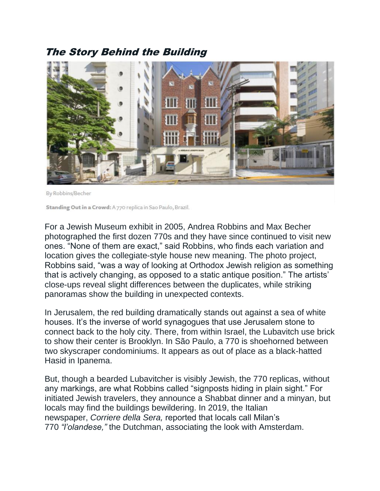### The Story Behind the Building



By Robbins/Becher

Standing Out in a Crowd: A 770 replica in Sao Paulo, Brazil.

For a Jewish Museum exhibit in 2005, Andrea Robbins and Max Becher photographed the first dozen 770s and they have since continued to visit new ones. "None of them are exact," said Robbins, who finds each variation and location gives the collegiate-style house new meaning. The photo project, Robbins said, "was a way of looking at Orthodox Jewish religion as something that is actively changing, as opposed to a static antique position." The artists' close-ups reveal slight differences between the duplicates, while striking panoramas show the building in unexpected contexts.

In Jerusalem, the red building dramatically stands out against a sea of white houses. It's the inverse of world synagogues that use Jerusalem stone to connect back to the holy city. There, from within Israel, the Lubavitch use brick to show their center is Brooklyn. In São Paulo, a 770 is shoehorned between two skyscraper condominiums. It appears as out of place as a black-hatted Hasid in Ipanema.

But, though a bearded Lubavitcher is visibly Jewish, the 770 replicas, without any markings, are what Robbins called "signposts hiding in plain sight." For initiated Jewish travelers, they announce a Shabbat dinner and a minyan, but locals may find the buildings bewildering. In 2019, the Italian newspaper, *Corriere della Sera,* reported that locals call Milan's 770 *"l'olandese,"* the Dutchman, associating the look with Amsterdam.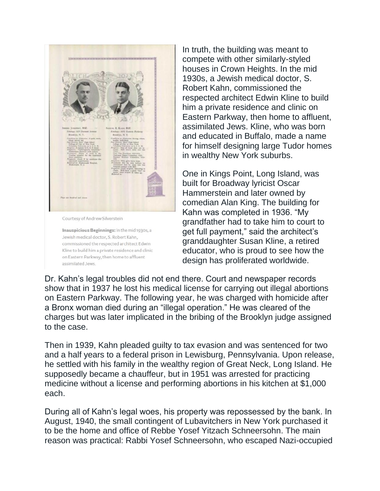

In truth, the building was meant to compete with other similarly-styled houses in Crown Heights. In the mid 1930s, a Jewish medical doctor, S. Robert Kahn, commissioned the respected architect Edwin Kline to build him a private residence and clinic on Eastern Parkway, then home to affluent, assimilated Jews. Kline, who was born and educated in Buffalo, made a name for himself designing large Tudor homes in wealthy New York suburbs.

One in Kings Point, Long Island, was built for Broadway lyricist Oscar Hammerstein and later owned by comedian Alan King. The building for Kahn was completed in 1936. "My grandfather had to take him to court to get full payment," said the architect's granddaughter Susan Kline, a retired educator, who is proud to see how the design has proliferated worldwide.

Dr. Kahn's legal troubles did not end there. Court and newspaper records show that in 1937 he lost his medical license for carrying out illegal abortions on Eastern Parkway. The following year, he was charged with homicide after a Bronx woman died during an "illegal operation." He was cleared of the charges but was later implicated in the bribing of the Brooklyn judge assigned to the case.

Then in 1939, Kahn pleaded guilty to tax evasion and was sentenced for two and a half years to a federal prison in Lewisburg, Pennsylvania. Upon release, he settled with his family in the wealthy region of Great Neck, Long Island. He supposedly became a chauffeur, but in 1951 was arrested for practicing medicine without a license and performing abortions in his kitchen at \$1,000 each.

During all of Kahn's legal woes, his property was repossessed by the bank. In August, 1940, the small contingent of Lubavitchers in New York purchased it to be the home and office of Rebbe Yosef Yitzach Schneersohn. The main reason was practical: Rabbi Yosef Schneersohn, who escaped Nazi-occupied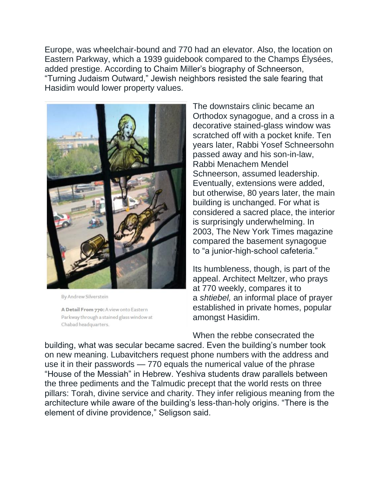Europe, was wheelchair-bound and 770 had an elevator. Also, the location on Eastern Parkway, which a 1939 guidebook compared to the Champs Élysées, added prestige. According to Chaim Miller's biography of Schneerson, "Turning Judaism Outward," Jewish neighbors resisted the sale fearing that Hasidim would lower property values.



By Andrew Silverstein

A Detail From 770: A view onto Eastern Parkway through a stained glass window at Chabad headquarters.

The downstairs clinic became an Orthodox synagogue, and a cross in a decorative stained-glass window was scratched off with a pocket knife. Ten years later, Rabbi Yosef Schneersohn passed away and his son-in-law, Rabbi Menachem Mendel Schneerson, assumed leadership. Eventually, extensions were added, but otherwise, 80 years later, the main building is unchanged. For what is considered a sacred place, the interior is surprisingly underwhelming. In 2003, The New York Times magazine compared the basement synagogue to "a junior-high-school cafeteria."

Its humbleness, though, is part of the appeal. Architect Meltzer, who prays at 770 weekly, compares it to a *shtiebel,* an informal place of prayer established in private homes, popular amongst Hasidim.

When the rebbe consecrated the

building, what was secular became sacred. Even the building's number took on new meaning. Lubavitchers request phone numbers with the address and use it in their passwords — 770 equals the numerical value of the phrase "House of the Messiah" in Hebrew. Yeshiva students draw parallels between the three pediments and the Talmudic precept that the world rests on three pillars: Torah, divine service and charity. They infer religious meaning from the architecture while aware of the building's less-than-holy origins. "There is the element of divine providence," Seligson said.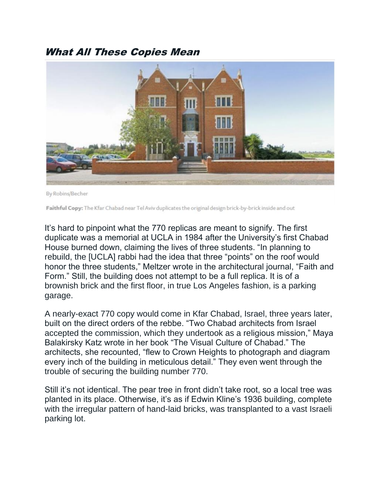### What All These Copies Mean



By Robins/Becher

Faithful Copy: The Kfar Chabad near Tel Aviv duplicates the original design brick-by-brick inside and out

It's hard to pinpoint what the 770 replicas are meant to signify. The first duplicate was a memorial at UCLA in 1984 after the University's first Chabad House burned down, claiming the lives of three students. "In planning to rebuild, the [UCLA] rabbi had the idea that three "points" on the roof would honor the three students," Meltzer wrote in the architectural journal, "Faith and Form." Still, the building does not attempt to be a full replica. It is of a brownish brick and the first floor, in true Los Angeles fashion, is a parking garage.

A nearly-exact 770 copy would come in Kfar Chabad, Israel, three years later, built on the direct orders of the rebbe. "Two Chabad architects from Israel accepted the commission, which they undertook as a religious mission," Maya Balakirsky Katz wrote in her book "The Visual Culture of Chabad." The architects, she recounted, "flew to Crown Heights to photograph and diagram every inch of the building in meticulous detail." They even went through the trouble of securing the building number 770.

Still it's not identical. The pear tree in front didn't take root, so a local tree was planted in its place. Otherwise, it's as if Edwin Kline's 1936 building, complete with the irregular pattern of hand-laid bricks, was transplanted to a vast Israeli parking lot.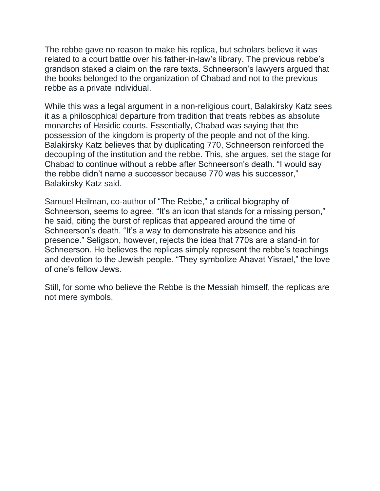The rebbe gave no reason to make his replica, but scholars believe it was related to a court battle over his father-in-law's library. The previous rebbe's grandson staked a claim on the rare texts. Schneerson's lawyers argued that the books belonged to the organization of Chabad and not to the previous rebbe as a private individual.

While this was a legal argument in a non-religious court, Balakirsky Katz sees it as a philosophical departure from tradition that treats rebbes as absolute monarchs of Hasidic courts. Essentially, Chabad was saying that the possession of the kingdom is property of the people and not of the king. Balakirsky Katz believes that by duplicating 770, Schneerson reinforced the decoupling of the institution and the rebbe. This, she argues, set the stage for Chabad to continue without a rebbe after Schneerson's death. "I would say the rebbe didn't name a successor because 770 was his successor," Balakirsky Katz said.

Samuel Heilman, co-author of "The Rebbe," a critical biography of Schneerson, seems to agree. "It's an icon that stands for a missing person," he said, citing the burst of replicas that appeared around the time of Schneerson's death. "It's a way to demonstrate his absence and his presence." Seligson, however, rejects the idea that 770s are a stand-in for Schneerson. He believes the replicas simply represent the rebbe's teachings and devotion to the Jewish people. "They symbolize Ahavat Yisrael," the love of one's fellow Jews.

Still, for some who believe the Rebbe is the Messiah himself, the replicas are not mere symbols.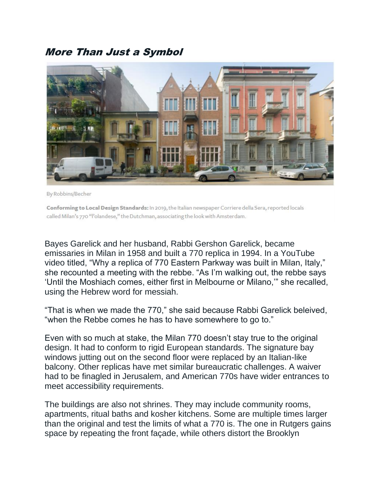#### More Than Just a Symbol



By Robbins/Becher

Conforming to Local Design Standards: In 2019, the Italian newspaper Corriere della Sera, reported locals called Milan's 770 "l'olandese," the Dutchman, associating the look with Amsterdam.

Bayes Garelick and her husband, Rabbi Gershon Garelick, became emissaries in Milan in 1958 and built a 770 replica in 1994. In a YouTube video titled, "Why a replica of 770 Eastern Parkway was built in Milan, Italy," she recounted a meeting with the rebbe. "As I'm walking out, the rebbe says 'Until the Moshiach comes, either first in Melbourne or Milano,'" she recalled, using the Hebrew word for messiah.

"That is when we made the 770," she said because Rabbi Garelick beleived, "when the Rebbe comes he has to have somewhere to go to."

Even with so much at stake, the Milan 770 doesn't stay true to the original design. It had to conform to rigid European standards. The signature bay windows jutting out on the second floor were replaced by an Italian-like balcony. Other replicas have met similar bureaucratic challenges. A waiver had to be finagled in Jerusalem, and American 770s have wider entrances to meet accessibility requirements.

The buildings are also not shrines. They may include community rooms, apartments, ritual baths and kosher kitchens. Some are multiple times larger than the original and test the limits of what a 770 is. The one in Rutgers gains space by repeating the front façade, while others distort the Brooklyn